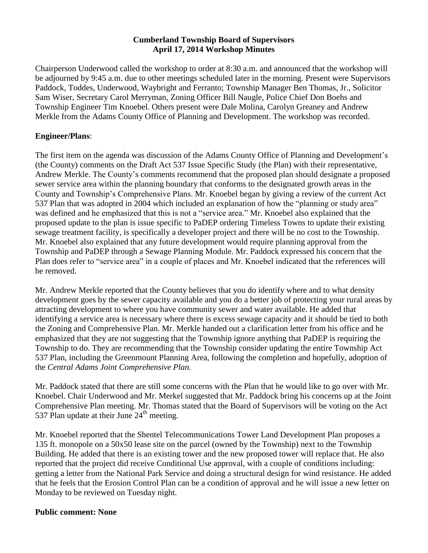### **Cumberland Township Board of Supervisors April 17, 2014 Workshop Minutes**

Chairperson Underwood called the workshop to order at 8:30 a.m. and announced that the workshop will be adjourned by 9:45 a.m. due to other meetings scheduled later in the morning. Present were Supervisors Paddock, Toddes, Underwood, Waybright and Ferranto; Township Manager Ben Thomas, Jr., Solicitor Sam Wiser, Secretary Carol Merryman, Zoning Officer Bill Naugle, Police Chief Don Boehs and Township Engineer Tim Knoebel. Others present were Dale Molina, Carolyn Greaney and Andrew Merkle from the Adams County Office of Planning and Development. The workshop was recorded.

### **Engineer/Plans**:

The first item on the agenda was discussion of the Adams County Office of Planning and Development's (the County) comments on the Draft Act 537 Issue Specific Study (the Plan) with their representative, Andrew Merkle. The County's comments recommend that the proposed plan should designate a proposed sewer service area within the planning boundary that conforms to the designated growth areas in the County and Township's Comprehensive Plans. Mr. Knoebel began by giving a review of the current Act 537 Plan that was adopted in 2004 which included an explanation of how the "planning or study area" was defined and he emphasized that this is not a "service area." Mr. Knoebel also explained that the proposed update to the plan is issue specific to PaDEP ordering Timeless Towns to update their existing sewage treatment facility, is specifically a developer project and there will be no cost to the Township. Mr. Knoebel also explained that any future development would require planning approval from the Township and PaDEP through a Sewage Planning Module. Mr. Paddock expressed his concern that the Plan does refer to "service area" in a couple of places and Mr. Knoebel indicated that the references will be removed.

Mr. Andrew Merkle reported that the County believes that you do identify where and to what density development goes by the sewer capacity available and you do a better job of protecting your rural areas by attracting development to where you have community sewer and water available. He added that identifying a service area is necessary where there is excess sewage capacity and it should be tied to both the Zoning and Comprehensive Plan. Mr. Merkle handed out a clarification letter from his office and he emphasized that they are not suggesting that the Township ignore anything that PaDEP is requiring the Township to do. They are recommending that the Township consider updating the entire Township Act 537 Plan, including the Greenmount Planning Area, following the completion and hopefully, adoption of the *Central Adams Joint Comprehensive Plan.*

Mr. Paddock stated that there are still some concerns with the Plan that he would like to go over with Mr. Knoebel. Chair Underwood and Mr. Merkel suggested that Mr. Paddock bring his concerns up at the Joint Comprehensive Plan meeting. Mr. Thomas stated that the Board of Supervisors will be voting on the Act 537 Plan update at their June  $24<sup>th</sup>$  meeting.

Mr. Knoebel reported that the Shentel Telecommunications Tower Land Development Plan proposes a 135 ft. monopole on a 50x50 lease site on the parcel (owned by the Township) next to the Township Building. He added that there is an existing tower and the new proposed tower will replace that. He also reported that the project did receive Conditional Use approval, with a couple of conditions including: getting a letter from the National Park Service and doing a structural design for wind resistance. He added that he feels that the Erosion Control Plan can be a condition of approval and he will issue a new letter on Monday to be reviewed on Tuesday night.

#### **Public comment: None**